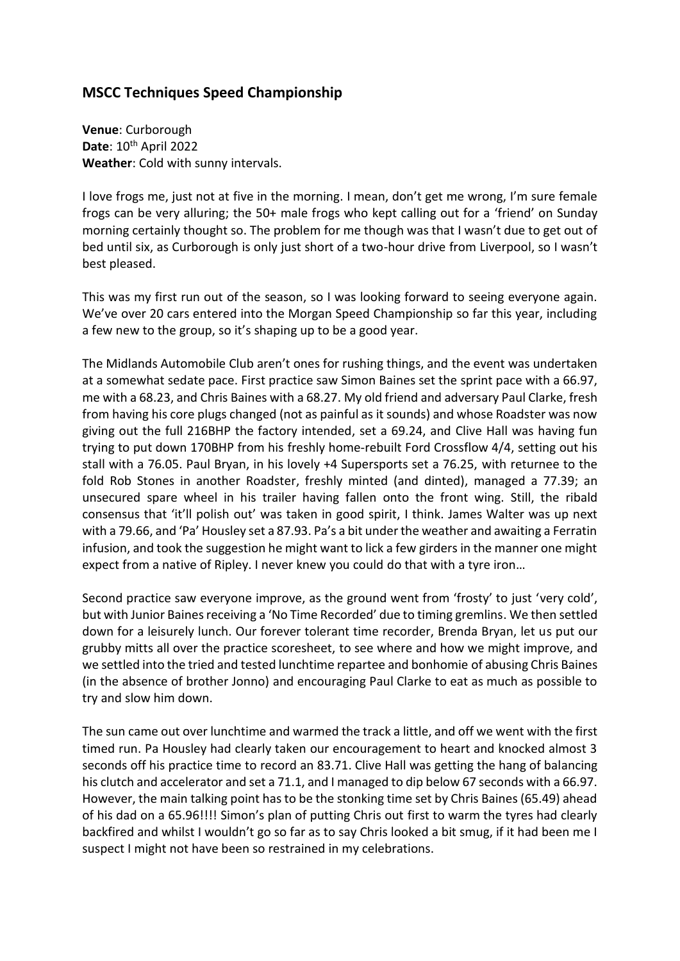## **MSCC Techniques Speed Championship**

**Venue**: Curborough **Date**: 10th April 2022 **Weather**: Cold with sunny intervals.

I love frogs me, just not at five in the morning. I mean, don't get me wrong, I'm sure female frogs can be very alluring; the 50+ male frogs who kept calling out for a 'friend' on Sunday morning certainly thought so. The problem for me though was that I wasn't due to get out of bed until six, as Curborough is only just short of a two-hour drive from Liverpool, so I wasn't best pleased.

This was my first run out of the season, so I was looking forward to seeing everyone again. We've over 20 cars entered into the Morgan Speed Championship so far this year, including a few new to the group, so it's shaping up to be a good year.

The Midlands Automobile Club aren't ones for rushing things, and the event was undertaken at a somewhat sedate pace. First practice saw Simon Baines set the sprint pace with a 66.97, me with a 68.23, and Chris Baines with a 68.27. My old friend and adversary Paul Clarke, fresh from having his core plugs changed (not as painful as it sounds) and whose Roadster was now giving out the full 216BHP the factory intended, set a 69.24, and Clive Hall was having fun trying to put down 170BHP from his freshly home-rebuilt Ford Crossflow 4/4, setting out his stall with a 76.05. Paul Bryan, in his lovely +4 Supersports set a 76.25, with returnee to the fold Rob Stones in another Roadster, freshly minted (and dinted), managed a 77.39; an unsecured spare wheel in his trailer having fallen onto the front wing. Still, the ribald consensus that 'it'll polish out' was taken in good spirit, I think. James Walter was up next with a 79.66, and 'Pa' Housley set a 87.93. Pa's a bit under the weather and awaiting a Ferratin infusion, and took the suggestion he might want to lick a few girders in the manner one might expect from a native of Ripley. I never knew you could do that with a tyre iron…

Second practice saw everyone improve, as the ground went from 'frosty' to just 'very cold', but with Junior Baines receiving a 'No Time Recorded' due to timing gremlins. We then settled down for a leisurely lunch. Our forever tolerant time recorder, Brenda Bryan, let us put our grubby mitts all over the practice scoresheet, to see where and how we might improve, and we settled into the tried and tested lunchtime repartee and bonhomie of abusing Chris Baines (in the absence of brother Jonno) and encouraging Paul Clarke to eat as much as possible to try and slow him down.

The sun came out over lunchtime and warmed the track a little, and off we went with the first timed run. Pa Housley had clearly taken our encouragement to heart and knocked almost 3 seconds off his practice time to record an 83.71. Clive Hall was getting the hang of balancing his clutch and accelerator and set a 71.1, and I managed to dip below 67 seconds with a 66.97. However, the main talking point has to be the stonking time set by Chris Baines (65.49) ahead of his dad on a 65.96!!!! Simon's plan of putting Chris out first to warm the tyres had clearly backfired and whilst I wouldn't go so far as to say Chris looked a bit smug, if it had been me I suspect I might not have been so restrained in my celebrations.